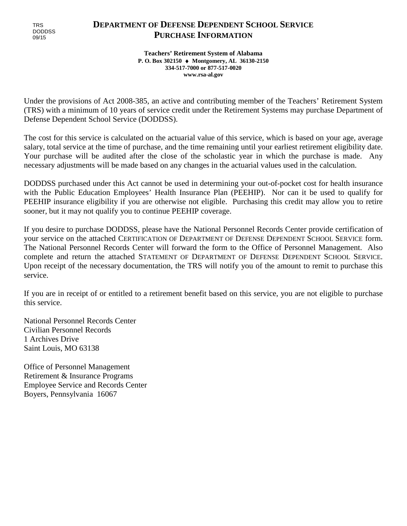# **DEPARTMENT OF DEFENSE DEPENDENT SCHOOL SERVICE PURCHASE INFORMATION**

**Teachers' Retirement System of Alabama P. O. Box 302150** ♦ **Montgomery, AL 36130-2150 334-517-7000 or 877-517-0020 www.rsa-al.gov**

Under the provisions of Act 2008-385, an active and contributing member of the Teachers' Retirement System (TRS) with a minimum of 10 years of service credit under the Retirement Systems may purchase Department of Defense Dependent School Service (DODDSS).

The cost for this service is calculated on the actuarial value of this service, which is based on your age, average salary, total service at the time of purchase, and the time remaining until your earliest retirement eligibility date. Your purchase will be audited after the close of the scholastic year in which the purchase is made. Any necessary adjustments will be made based on any changes in the actuarial values used in the calculation.

DODDSS purchased under this Act cannot be used in determining your out-of-pocket cost for health insurance with the Public Education Employees' Health Insurance Plan (PEEHIP). Nor can it be used to qualify for PEEHIP insurance eligibility if you are otherwise not eligible. Purchasing this credit may allow you to retire sooner, but it may not qualify you to continue PEEHIP coverage.

If you desire to purchase DODDSS, please have the National Personnel Records Center provide certification of your service on the attached CERTIFICATION OF DEPARTMENT OF DEFENSE DEPENDENT SCHOOL SERVICE form. The National Personnel Records Center will forward the form to the Office of Personnel Management. Also complete and return the attached STATEMENT OF DEPARTMENT OF DEFENSE DEPENDENT SCHOOL SERVICE. Upon receipt of the necessary documentation, the TRS will notify you of the amount to remit to purchase this service.

If you are in receipt of or entitled to a retirement benefit based on this service, you are not eligible to purchase this service.

National Personnel Records Center Civilian Personnel Records 1 Archives Drive Saint Louis, MO 63138

Office of Personnel Management Retirement & Insurance Programs Employee Service and Records Center Boyers, Pennsylvania 16067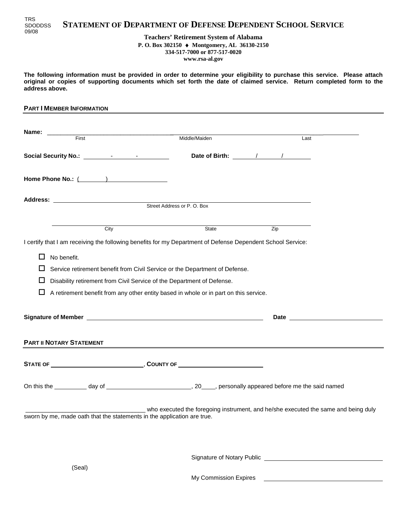

#### **Teachers' Retirement System of Alabama P. O. Box 302150** ♦ **Montgomery, AL 36130-2150 334-517-7000 or 877-517-0020 www.rsa-al.gov**

**The following information must be provided in order to determine your eligibility to purchase this service. Please attach original or copies of supporting documents which set forth the date of claimed service. Return completed form to the address above.**

#### **PART I MEMBER INFORMATION**

|                                 | Middle/Maiden                                                                                               | Last                                                                                                                                                                                                                           |
|---------------------------------|-------------------------------------------------------------------------------------------------------------|--------------------------------------------------------------------------------------------------------------------------------------------------------------------------------------------------------------------------------|
|                                 |                                                                                                             |                                                                                                                                                                                                                                |
| Home Phone No.: (1999)          |                                                                                                             |                                                                                                                                                                                                                                |
|                                 |                                                                                                             |                                                                                                                                                                                                                                |
|                                 | Street Address or P.O. Box                                                                                  |                                                                                                                                                                                                                                |
| City                            | State                                                                                                       | Zip                                                                                                                                                                                                                            |
|                                 | I certify that I am receiving the following benefits for my Department of Defense Dependent School Service: |                                                                                                                                                                                                                                |
| П<br>No benefit.                |                                                                                                             |                                                                                                                                                                                                                                |
| ப                               | Service retirement benefit from Civil Service or the Department of Defense.                                 |                                                                                                                                                                                                                                |
|                                 | Disability retirement from Civil Service of the Department of Defense.                                      |                                                                                                                                                                                                                                |
|                                 | A retirement benefit from any other entity based in whole or in part on this service.                       |                                                                                                                                                                                                                                |
|                                 |                                                                                                             | Date and the contract of the contract of the contract of the contract of the contract of the contract of the contract of the contract of the contract of the contract of the contract of the contract of the contract of the c |
| <b>PART II NOTARY STATEMENT</b> |                                                                                                             |                                                                                                                                                                                                                                |
|                                 |                                                                                                             |                                                                                                                                                                                                                                |
|                                 |                                                                                                             |                                                                                                                                                                                                                                |
|                                 |                                                                                                             | who executed the foregoing instrument, and he/she executed the same and being duly                                                                                                                                             |
|                                 | sworn by me, made oath that the statements in the application are true.                                     |                                                                                                                                                                                                                                |

Signature of Notary Public

(Seal)

My Commission Expires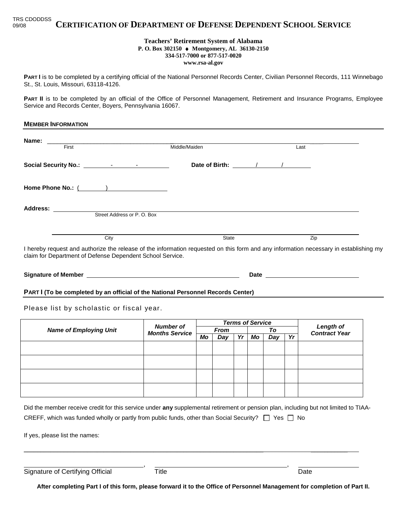**CERTIFICATION OF DEPARTMENT OF DEFENSE DEPENDENT SCHOOL SERVICE** TRS CDODDSS 09/08

## **Teachers' Retirement System of Alabama**

**P. O. Box 302150** ♦ **Montgomery, AL 36130-2150**

**334-517-7000 or 877-517-0020**

**www.rsa-al.gov**

PART I is to be completed by a certifying official of the National Personnel Records Center, Civilian Personnel Records, 111 Winnebago St., St. Louis, Missouri, 63118-4126.

PART II is to be completed by an official of the Office of Personnel Management, Retirement and Insurance Programs, Employee Service and Records Center, Boyers, Pennsylvania 16067.

| <b>MEMBER INFORMATION</b>                                                                                                                                                                          |                                       |                         |                                                                                                                                                                                                                                      |  |
|----------------------------------------------------------------------------------------------------------------------------------------------------------------------------------------------------|---------------------------------------|-------------------------|--------------------------------------------------------------------------------------------------------------------------------------------------------------------------------------------------------------------------------------|--|
| First                                                                                                                                                                                              | Middle/Maiden                         |                         | Last                                                                                                                                                                                                                                 |  |
|                                                                                                                                                                                                    |                                       |                         |                                                                                                                                                                                                                                      |  |
|                                                                                                                                                                                                    |                                       |                         |                                                                                                                                                                                                                                      |  |
| Home Phone No.: (1999)                                                                                                                                                                             |                                       |                         |                                                                                                                                                                                                                                      |  |
| Address:<br>Street Address or P. O. Box                                                                                                                                                            |                                       |                         |                                                                                                                                                                                                                                      |  |
|                                                                                                                                                                                                    |                                       |                         |                                                                                                                                                                                                                                      |  |
| City                                                                                                                                                                                               |                                       | State                   | Zip                                                                                                                                                                                                                                  |  |
| I hereby request and authorize the release of the information requested on this form and any information necessary in establishing my<br>claim for Department of Defense Dependent School Service. |                                       |                         |                                                                                                                                                                                                                                      |  |
|                                                                                                                                                                                                    |                                       |                         |                                                                                                                                                                                                                                      |  |
| PART I (To be completed by an official of the National Personnel Records Center)                                                                                                                   |                                       |                         |                                                                                                                                                                                                                                      |  |
| Please list by scholastic or fiscal year.                                                                                                                                                          |                                       |                         |                                                                                                                                                                                                                                      |  |
|                                                                                                                                                                                                    | $M_1$ , and $L_2$ are $\mathcal{L}$ . | <b>Terms of Service</b> | <b>Contract Contract Contract Contract Contract Contract Contract Contract Contract Contract Contract Contract Contract Contract Contract Contract Contract Contract Contract Contract Contract Contract Contract Contract Contr</b> |  |

| <b>Number of</b><br><b>Months Service</b> | <b>Terms of Service</b> |     |    |    |     |                                          |  |
|-------------------------------------------|-------------------------|-----|----|----|-----|------------------------------------------|--|
|                                           | From                    |     | To |    |     | <b>Length of</b><br><b>Contract Year</b> |  |
|                                           | Mo                      | Day | Yr | Mo | Day | Yr                                       |  |
|                                           |                         |     |    |    |     |                                          |  |
|                                           |                         |     |    |    |     |                                          |  |
|                                           |                         |     |    |    |     |                                          |  |
|                                           |                         |     |    |    |     |                                          |  |
|                                           |                         |     |    |    |     |                                          |  |
|                                           |                         |     |    |    |     |                                          |  |
|                                           |                         |     |    |    |     |                                          |  |
|                                           |                         |     |    |    |     |                                          |  |
|                                           |                         |     |    |    |     |                                          |  |

| Did the member receive credit for this service under any supplemental retirement or pension plan, including but not limited to TIAA- |
|--------------------------------------------------------------------------------------------------------------------------------------|
| CREFF, which was funded wholly or partly from public funds, other than Social Security? $\Box$ Yes $\Box$ No                         |

 $\_$  , and the set of the set of the set of the set of the set of the set of the set of the set of the set of the set of the set of the set of the set of the set of the set of the set of the set of the set of the set of th

If yes, please list the names:

Signature of Certifying Official Title Title Contract Date Date

**After completing Part I of this form, please forward it to the Office of Personnel Management for completion of Part II.**

, ,